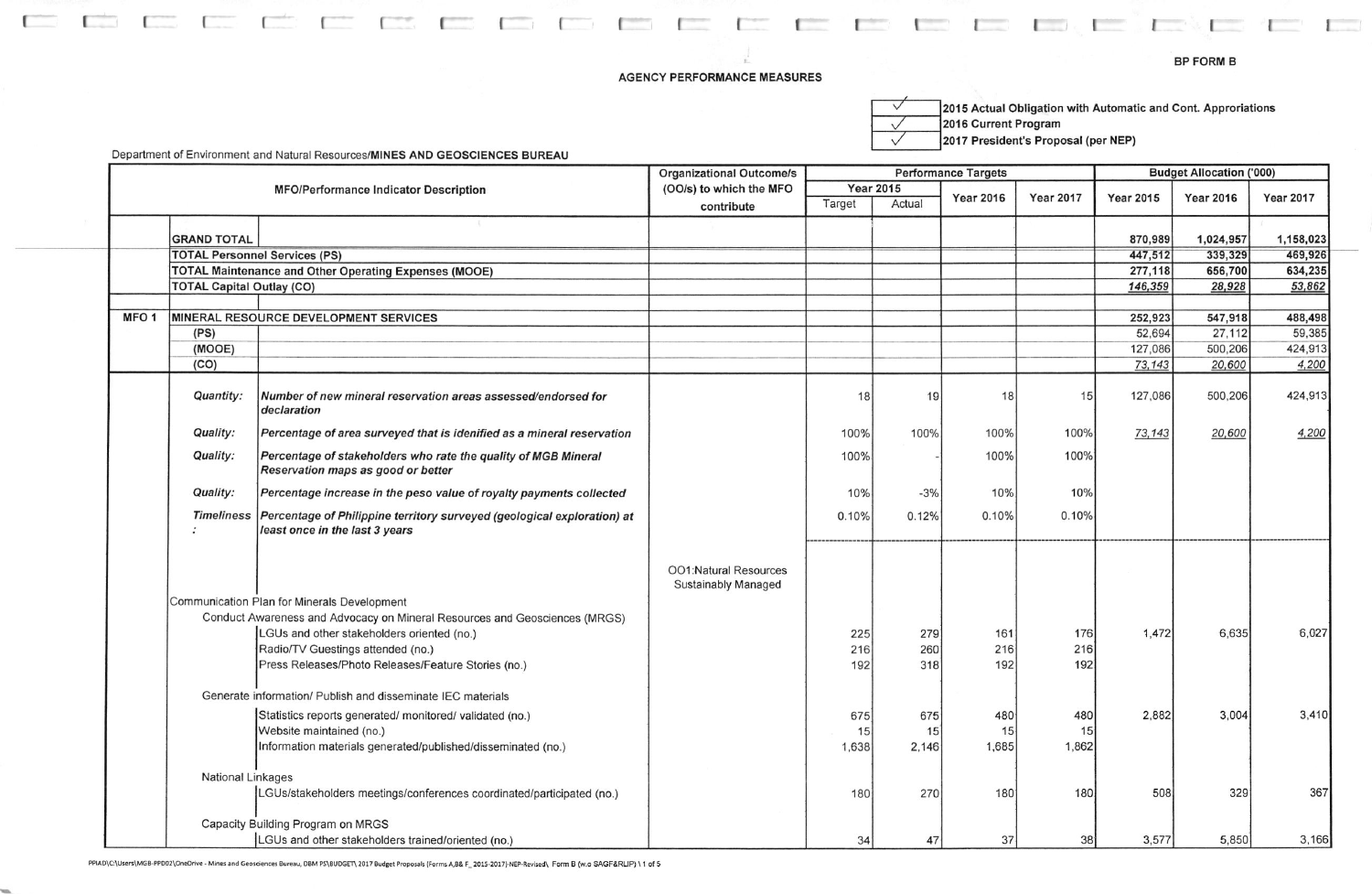## **AGENCY PERFORMANCE MEASURES**

**Contract Contract** 

**Contractor** 

 $\Gamma$ 

2015 Actual Obligation with Automatic and Cont. Approriations  $\overline{\vee}$ 2016 Current Program  $\sqrt{}$ 2017 President's Proposal (per NEP)  $\checkmark$ 

the control of the con-

Department of Environment and Natural Resources/MINES AND GEOSCIENCES BUREAU

 $\sqrt{2}$ 

|                  | <b>MFO/Performance Indicator Description</b> |                                                                                                                        | <b>Organizational Outcome/s</b>              |                                      | <b>Performance Targets</b> |                  |                  |                  | <b>Budget Allocation ('000)</b> |                  |  |  |
|------------------|----------------------------------------------|------------------------------------------------------------------------------------------------------------------------|----------------------------------------------|--------------------------------------|----------------------------|------------------|------------------|------------------|---------------------------------|------------------|--|--|
|                  |                                              |                                                                                                                        | (OO/s) to which the MFO                      | <b>Year 2015</b><br>Actual<br>Target |                            |                  | <b>Year 2017</b> | <b>Year 2015</b> | <b>Year 2016</b>                |                  |  |  |
|                  |                                              |                                                                                                                        | contribute                                   |                                      |                            | <b>Year 2016</b> |                  |                  |                                 | <b>Year 2017</b> |  |  |
|                  |                                              |                                                                                                                        |                                              |                                      |                            |                  |                  |                  |                                 |                  |  |  |
|                  | <b>GRAND TOTAL</b>                           |                                                                                                                        |                                              |                                      |                            |                  |                  | 870,989          | 1,024,957                       | 1,158,023        |  |  |
|                  |                                              | <b>TOTAL Personnel Services (PS)</b>                                                                                   |                                              |                                      |                            |                  |                  | 447,512          | 339,329                         | 469,926          |  |  |
|                  |                                              | <b>TOTAL Maintenance and Other Operating Expenses (MOOE)</b>                                                           |                                              |                                      |                            |                  |                  | 277,118          | 656,700                         | 634,235          |  |  |
|                  | <b>TOTAL Capital Outlay (CO)</b>             |                                                                                                                        |                                              |                                      |                            |                  |                  | 146,359          | 28,928                          | 53,862           |  |  |
| MFO <sub>1</sub> |                                              | MINERAL RESOURCE DEVELOPMENT SERVICES                                                                                  |                                              |                                      |                            |                  |                  | 252,923          | 547,918                         | 488,498          |  |  |
|                  | (PS)                                         |                                                                                                                        |                                              |                                      |                            |                  |                  | 52,694           | 27,112                          | 59,385           |  |  |
|                  | (MOOE)                                       |                                                                                                                        |                                              |                                      |                            |                  |                  | 127,086          | 500,206                         | 424,913          |  |  |
|                  | (CO)                                         |                                                                                                                        |                                              |                                      |                            |                  |                  | 73,143           | 20,600                          | 4,200            |  |  |
|                  |                                              |                                                                                                                        |                                              |                                      |                            |                  |                  |                  |                                 |                  |  |  |
|                  | Quantity:                                    | Number of new mineral reservation areas assessed/endorsed for<br>declaration                                           |                                              | 18                                   | 19                         | 18               | 15               | 127,086          | 500,206                         | 424,913          |  |  |
|                  | Quality:                                     | Percentage of area surveyed that is idenified as a mineral reservation                                                 |                                              | 100%                                 | 100%                       | 100%             | 100%             | 73,143           | 20,600                          | 4,200            |  |  |
|                  | Quality:                                     | Percentage of stakeholders who rate the quality of MGB Mineral<br>Reservation maps as good or better                   |                                              | 100%                                 |                            | 100%             | 100%             |                  |                                 |                  |  |  |
|                  | Quality:                                     | Percentage increase in the peso value of royalty payments collected                                                    |                                              | 10%                                  | $-3%$                      | 10%              | 10%              |                  |                                 |                  |  |  |
|                  |                                              | Timeliness   Percentage of Philippine territory surveyed (geological exploration) at<br>least once in the last 3 years |                                              | 0.10%                                | 0.12%                      | 0.10%            | 0.10%            |                  |                                 |                  |  |  |
|                  |                                              | Communication Plan for Minerals Development                                                                            | OO1:Natural Resources<br>Sustainably Managed |                                      |                            |                  |                  |                  |                                 |                  |  |  |
|                  |                                              | Conduct Awareness and Advocacy on Mineral Resources and Geosciences (MRGS)                                             |                                              |                                      |                            |                  |                  |                  |                                 |                  |  |  |
|                  |                                              | LGUs and other stakeholders oriented (no.)                                                                             |                                              | 225                                  | 279                        | 161              | 176              | 1,472            | 6,635                           | 6,027            |  |  |
|                  |                                              | Radio/TV Guestings attended (no.)                                                                                      |                                              | 216                                  | 260                        | 216              | 216              |                  |                                 |                  |  |  |
|                  |                                              | Press Releases/Photo Releases/Feature Stories (no.)                                                                    |                                              | 192                                  | 318                        | 192              | 192              |                  |                                 |                  |  |  |
|                  |                                              | Generate information/ Publish and disseminate IEC materials                                                            |                                              |                                      |                            |                  |                  |                  |                                 |                  |  |  |
|                  |                                              | Statistics reports generated/ monitored/ validated (no.)                                                               |                                              | 675                                  | 675                        | 480              | 480              | 2,882            | 3,004                           | 3,410            |  |  |
|                  |                                              | Website maintained (no.)                                                                                               |                                              | 15                                   | 15                         | 15               | 15               |                  |                                 |                  |  |  |
|                  |                                              | Information materials generated/published/disseminated (no.)                                                           |                                              | 1,638                                | 2,146                      | 1,685            | 1,862            |                  |                                 |                  |  |  |
|                  | <b>National Linkages</b>                     |                                                                                                                        |                                              |                                      |                            |                  |                  |                  |                                 |                  |  |  |
|                  |                                              | LGUs/stakeholders meetings/conferences coordinated/participated (no.)                                                  |                                              | 180                                  | 270                        | 180              | 180              | 508              | 329                             | 367              |  |  |
|                  |                                              | Capacity Building Program on MRGS                                                                                      |                                              |                                      |                            |                  |                  |                  |                                 |                  |  |  |
|                  |                                              | LGUs and other stakeholders trained/oriented (no.)                                                                     |                                              | 34                                   | 47                         | 37               | 38               | 3,577            | 5,850                           | 3,166            |  |  |

PPIAD\C:\Users\MGB-PPD02\OneDrive - Mines and Geosciences Bureau, DBM PS\BUDGET\ 2017 Budget Proposals (Forms A,B& F\_2015-2017)-NEP-Revised\ Form B (w.o SAGF&RLIP) \1 of 5

 $\Gamma$  . The set of  $\Gamma$ 

 $\mathbb{R}$